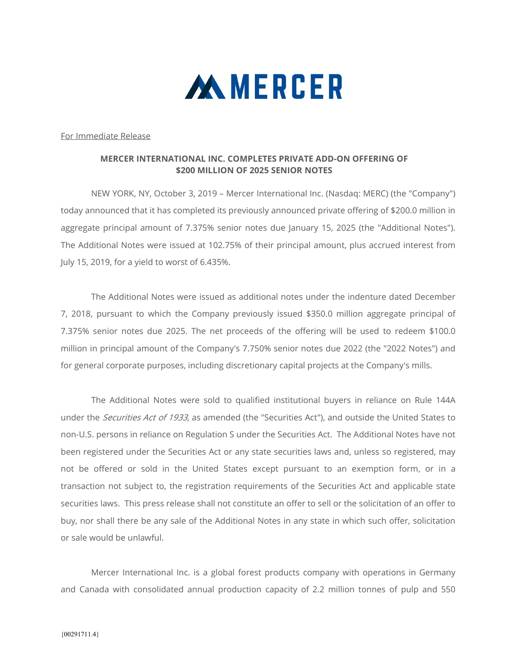

For Immediate Release

## MERCER INTERNATIONAL INC. COMPLETES PRIVATE ADD-ON OFFERING OF \$200 MILLION OF 2025 SENIOR NOTES

 NEW YORK, NY, October 3, 2019 – Mercer International Inc. (Nasdaq: MERC) (the "Company") today announced that it has completed its previously announced private offering of \$200.0 million in aggregate principal amount of 7.375% senior notes due January 15, 2025 (the "Additional Notes"). The Additional Notes were issued at 102.75% of their principal amount, plus accrued interest from July 15, 2019, for a yield to worst of 6.435%.

The Additional Notes were issued as additional notes under the indenture dated December 7, 2018, pursuant to which the Company previously issued \$350.0 million aggregate principal of 7.375% senior notes due 2025. The net proceeds of the offering will be used to redeem \$100.0 million in principal amount of the Company's 7.750% senior notes due 2022 (the "2022 Notes") and for general corporate purposes, including discretionary capital projects at the Company's mills.

The Additional Notes were sold to qualified institutional buyers in reliance on Rule 144A under the *Securities Act of 1933*, as amended (the "Securities Act"), and outside the United States to non-U.S. persons in reliance on Regulation S under the Securities Act. The Additional Notes have not been registered under the Securities Act or any state securities laws and, unless so registered, may not be offered or sold in the United States except pursuant to an exemption form, or in a transaction not subject to, the registration requirements of the Securities Act and applicable state securities laws. This press release shall not constitute an offer to sell or the solicitation of an offer to buy, nor shall there be any sale of the Additional Notes in any state in which such offer, solicitation or sale would be unlawful.

Mercer International Inc. is a global forest products company with operations in Germany and Canada with consolidated annual production capacity of 2.2 million tonnes of pulp and 550